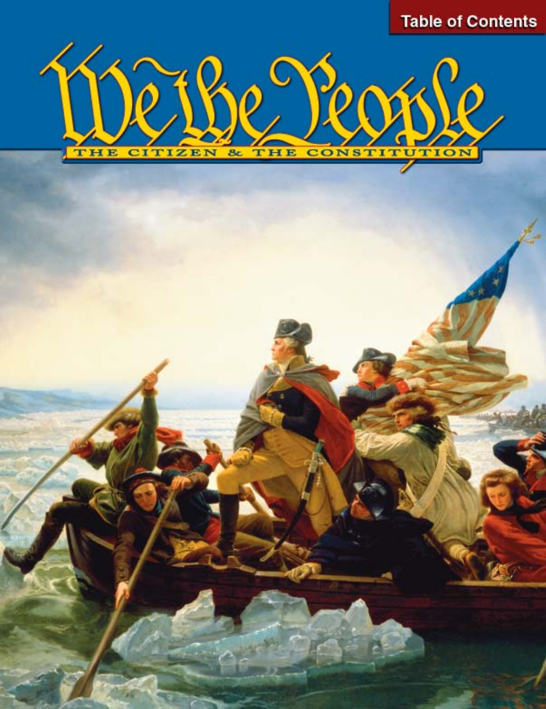

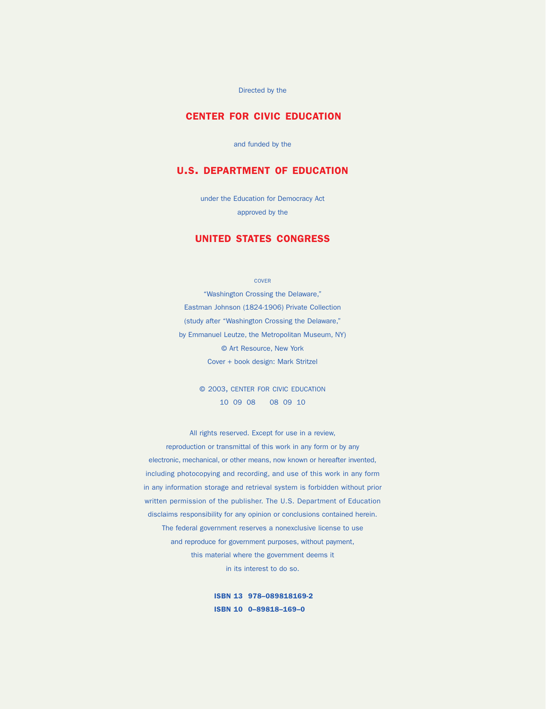Directed by the

### CENTER FOR CIVIC EDUCATION

and funded by the

### U.S. DEPARTMENT OF EDUCATION

under the Education for Democracy Act approved by the

### UNITED STATES CONGRESS

COVER

"Washington Crossing the Delaware," Eastman Johnson (1824-1906) Private Collection (study after "Washington Crossing the Delaware," by Emmanuel Leutze, the Metropolitan Museum, NY) © Art Resource, New York Cover + book design: Mark Stritzel

> © 2003, CENTER FOR CIVIC EDUCATION 10 09 08 08 09 10

All rights reserved. Except for use in a review, reproduction or transmittal of this work in any form or by any electronic, mechanical, or other means, now known or hereafter invented, including photocopying and recording, and use of this work in any form in any information storage and retrieval system is forbidden without prior written permission of the publisher. The U.S. Department of Education disclaims responsibility for any opinion or conclusions contained herein. The federal government reserves a nonexclusive license to use and reproduce for government purposes, without payment, this material where the government deems it in its interest to do so.

> ISBN 13 978–089818169-2 ISBN 10 0–89818–169–0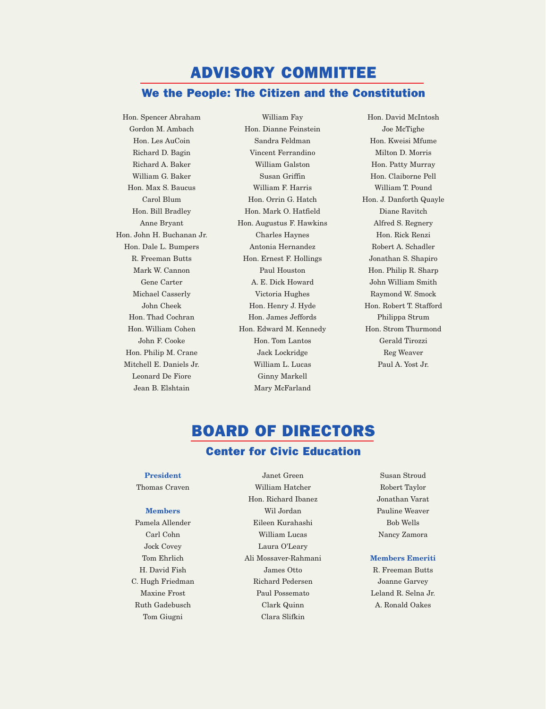## ADVISORY COMMITTEE We the People: The Citizen and the Constitution

Hon. Spencer Abraham Gordon M. Ambach Hon. Les AuCoin Richard D. Bagin Richard A. Baker William G. Baker Hon. Max S. Baucus Carol Blum Hon. Bill Bradley Anne Bryant Hon. John H. Buchanan Jr. Hon. Dale L. Bumpers R. Freeman Butts Mark W. Cannon Gene Carter Michael Casserly John Cheek Hon. Thad Cochran Hon. William Cohen John F. Cooke Hon. Philip M. Crane Mitchell E. Daniels Jr. Leonard De Fiore Jean B. Elshtain

William Fay Hon. Dianne Feinstein Sandra Feldman Vincent Ferrandino William Galston Susan Griffin William F. Harris Hon. Orrin G. Hatch Hon. Mark O. Hatfield Hon. Augustus F. Hawkins Charles Haynes Antonia Hernandez Hon. Ernest F. Hollings Paul Houston A. E. Dick Howard Victoria Hughes Hon. Henry J. Hyde Hon. James Jeffords Hon. Edward M. Kennedy Hon. Tom Lantos Jack Lockridge William L. Lucas Ginny Markell Mary McFarland

Hon. David McIntosh Joe McTighe Hon. Kweisi Mfume Milton D. Morris Hon. Patty Murray Hon. Claiborne Pell William T. Pound Hon. J. Danforth Quayle Diane Ravitch Alfred S. Regnery Hon. Rick Renzi Robert A. Schadler Jonathan S. Shapiro Hon. Philip R. Sharp John William Smith Raymond W. Smock Hon. Robert T. Stafford Philippa Strum Hon. Strom Thurmond Gerald Tirozzi Reg Weaver Paul A. Yost Jr.

# BOARD OF DIRECTORS

## Center for Civic Education

#### **President**

Thomas Craven

#### **Members**

Pamela Allender Carl Cohn Jock Covey Tom Ehrlich H. David Fish C. Hugh Friedman Maxine Frost Ruth Gadebusch Tom Giugni

Janet Green William Hatcher Hon. Richard Ibanez Wil Jordan Eileen Kurahashi William Lucas Laura O'Leary Ali Mossaver-Rahmani James Otto Richard Pedersen Paul Possemato Clark Quinn Clara Slifkin

Susan Stroud Robert Taylor Jonathan Varat Pauline Weaver Bob Wells Nancy Zamora

#### **Members Emeriti**

R. Freeman Butts Joanne Garvey Leland R. Selna Jr. A. Ronald Oakes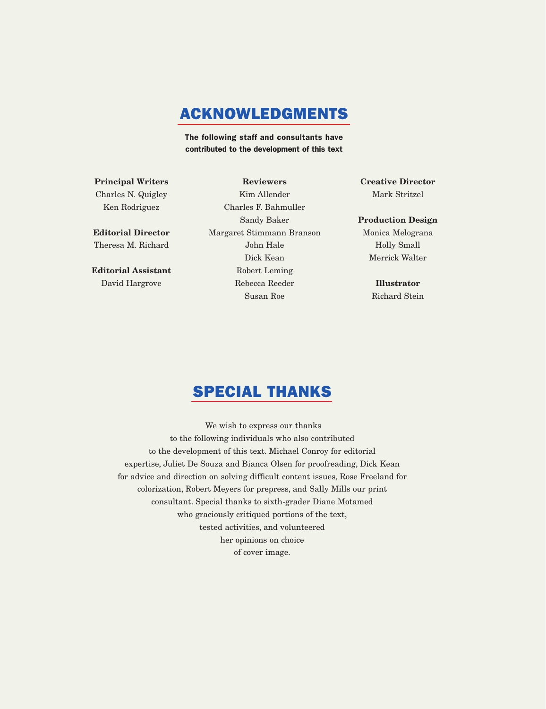## ACKNOWLEDGMENTS

The following staff and consultants have contributed to the development of this text

**Principal Writers** Charles N. Quigley Ken Rodriguez

**Editorial Director** Theresa M. Richard

**Editorial Assistant** David Hargrove

**Reviewers** Kim Allender Charles F. Bahmuller Sandy Baker Margaret Stimmann Branson John Hale Dick Kean Robert Leming Rebecca Reeder Susan Roe

**Creative Director** Mark Stritzel

#### **Production Design**

Monica Melograna Holly Small Merrick Walter

> **Illustrator** Richard Stein

## SPECIAL THANKS

We wish to express our thanks to the following individuals who also contributed to the development of this text. Michael Conroy for editorial expertise, Juliet De Souza and Bianca Olsen for proofreading, Dick Kean for advice and direction on solving difficult content issues, Rose Freeland for colorization, Robert Meyers for prepress, and Sally Mills our print consultant. Special thanks to sixth-grader Diane Motamed who graciously critiqued portions of the text, tested activities, and volunteered her opinions on choice of cover image.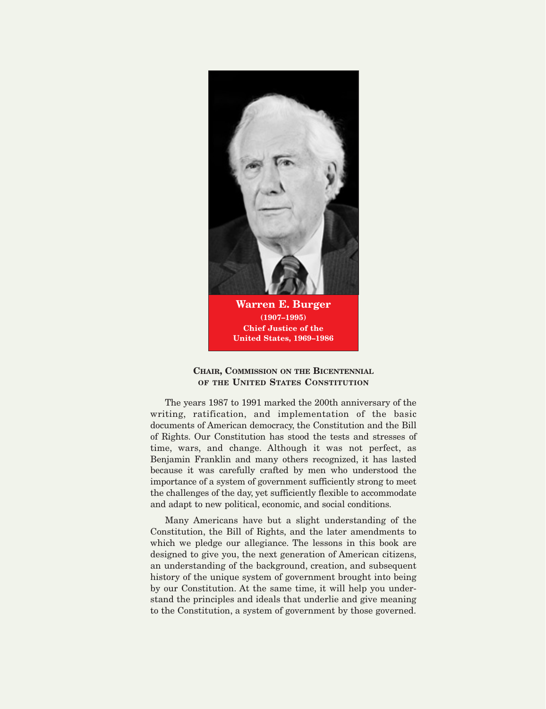

#### **CHAIR, COMMISSION ON THE BICENTENNIAL OF THE UNITED STATES CONSTITUTION**

The years 1987 to 1991 marked the 200th anniversary of the writing, ratification, and implementation of the basic documents of American democracy, the Constitution and the Bill of Rights. Our Constitution has stood the tests and stresses of time, wars, and change. Although it was not perfect, as Benjamin Franklin and many others recognized, it has lasted because it was carefully crafted by men who understood the importance of a system of government sufficiently strong to meet the challenges of the day, yet sufficiently flexible to accommodate and adapt to new political, economic, and social conditions.

Many Americans have but a slight understanding of the Constitution, the Bill of Rights, and the later amendments to which we pledge our allegiance. The lessons in this book are designed to give you, the next generation of American citizens, an understanding of the background, creation, and subsequent history of the unique system of government brought into being by our Constitution. At the same time, it will help you understand the principles and ideals that underlie and give meaning to the Constitution, a system of government by those governed.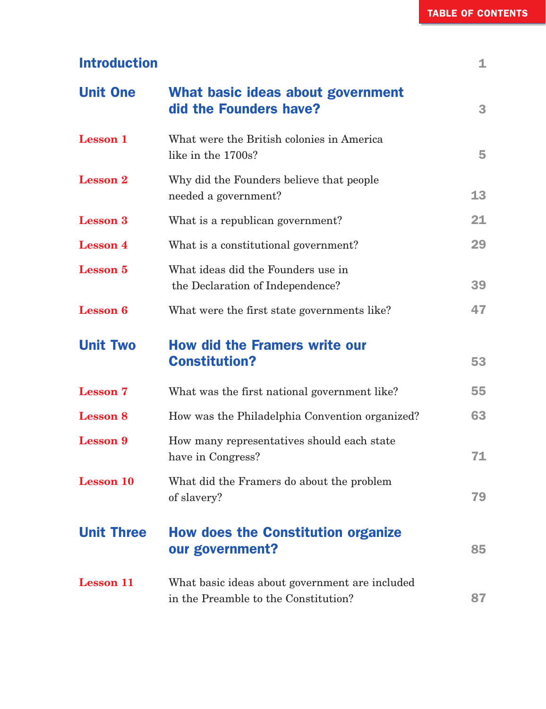| <b>Introduction</b> |                                                                        | 1  |
|---------------------|------------------------------------------------------------------------|----|
| <b>Unit One</b>     | What basic ideas about government<br>did the Founders have?            | 3  |
| <b>Lesson 1</b>     | What were the British colonies in America<br>like in the 1700s?        | 5  |
| <b>Lesson 2</b>     | Why did the Founders believe that people<br>needed a government?       | 13 |
| <b>Lesson 3</b>     | What is a republican government?                                       | 21 |
| <b>Lesson 4</b>     | What is a constitutional government?                                   | 29 |
| <b>Lesson 5</b>     | What ideas did the Founders use in<br>the Declaration of Independence? | 39 |
| <b>Lesson 6</b>     | What were the first state governments like?                            | 47 |
| <b>Unit Two</b>     | <b>How did the Framers write our</b><br><b>Constitution?</b>           | 53 |
| <b>Lesson 7</b>     | What was the first national government like?                           | 55 |
| <b>Lesson 8</b>     |                                                                        |    |
|                     | How was the Philadelphia Convention organized?                         | 63 |
| <b>Lesson 9</b>     | How many representatives should each state<br>have in Congress?        | 71 |
| <b>Lesson 10</b>    | What did the Framers do about the problem<br>of slavery?               | 79 |
| <b>Unit Three</b>   | <b>How does the Constitution organize</b><br>our government?           | 85 |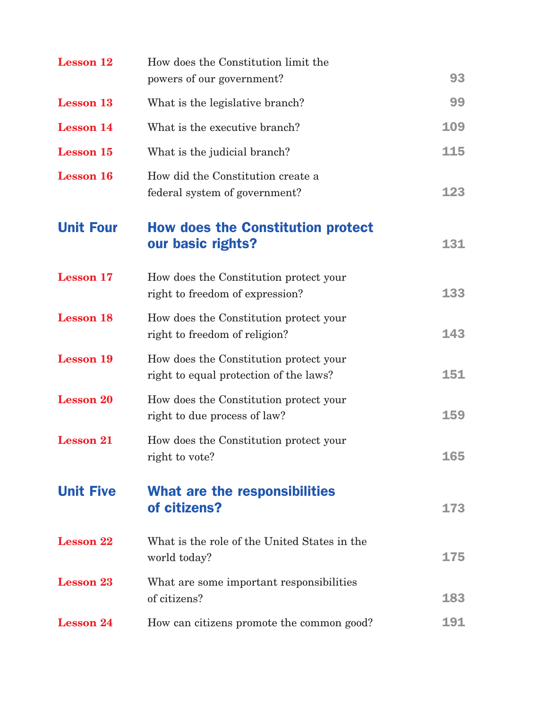| <b>Lesson 12</b> | How does the Constitution limit the<br>powers of our government?                 | 93  |
|------------------|----------------------------------------------------------------------------------|-----|
| <b>Lesson 13</b> | What is the legislative branch?                                                  | 99  |
| <b>Lesson 14</b> | What is the executive branch?                                                    | 109 |
| <b>Lesson 15</b> | What is the judicial branch?                                                     | 115 |
| <b>Lesson 16</b> | How did the Constitution create a<br>federal system of government?               | 123 |
| <b>Unit Four</b> | <b>How does the Constitution protect</b><br>our basic rights?                    | 131 |
| <b>Lesson 17</b> | How does the Constitution protect your<br>right to freedom of expression?        | 133 |
| <b>Lesson 18</b> | How does the Constitution protect your<br>right to freedom of religion?          | 143 |
| <b>Lesson 19</b> | How does the Constitution protect your<br>right to equal protection of the laws? | 151 |
| <b>Lesson 20</b> | How does the Constitution protect your<br>right to due process of law?           | 159 |
| <b>Lesson 21</b> | How does the Constitution protect your<br>right to vote?                         | 165 |
| <b>Unit Five</b> | What are the responsibilities<br>of citizens?                                    | 173 |
| <b>Lesson 22</b> | What is the role of the United States in the<br>world today?                     | 175 |
| <b>Lesson 23</b> | What are some important responsibilities<br>of citizens?                         | 183 |
| <b>Lesson 24</b> | How can citizens promote the common good?                                        | 191 |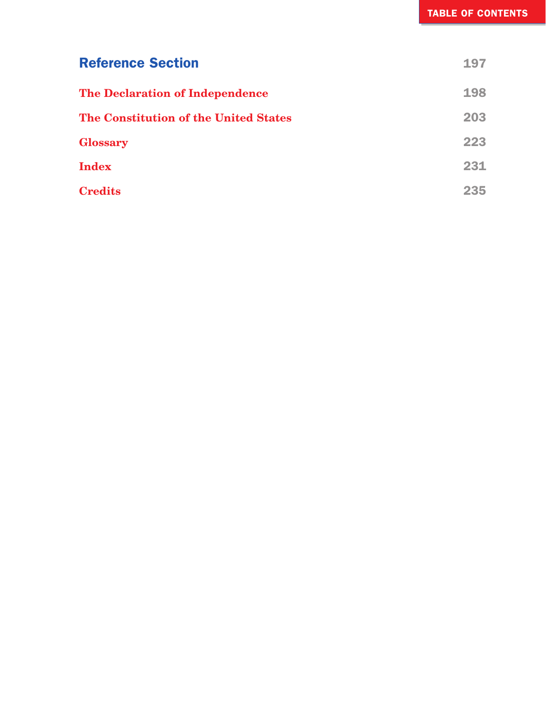| <b>Reference Section</b>                     | 197 |
|----------------------------------------------|-----|
| <b>The Declaration of Independence</b>       | 198 |
| <b>The Constitution of the United States</b> | 203 |
| <b>Glossary</b>                              | 223 |
| <b>Index</b>                                 | 231 |
| <b>Credits</b>                               | 235 |